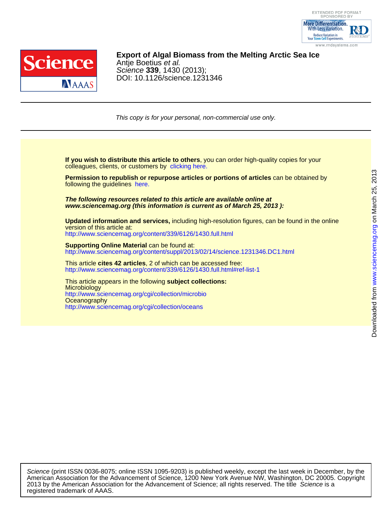



### DOI: 10.1126/science.1231346 Science **339**, 1430 (2013); Antje Boetius et al. **Export of Algal Biomass from the Melting Arctic Sea Ice**

This copy is for your personal, non-commercial use only.

colleagues, clients, or customers by [clicking here.](http://www.sciencemag.org/about/permissions.dtl) **If you wish to distribute this article to others**, you can order high-quality copies for your

following the guidelines [here.](http://www.sciencemag.org/about/permissions.dtl) **Permission to republish or repurpose articles or portions of articles** can be obtained by

**www.sciencemag.org (this information is current as of March 25, 2013 ): The following resources related to this article are available online at**

<http://www.sciencemag.org/content/339/6126/1430.full.html> version of this article at: **Updated information and services,** including high-resolution figures, can be found in the online

http://www.sciencemag.org/content/suppl/2013/02/14/science.1231346.DC1.html **Supporting Online Material** can be found at:

<http://www.sciencemag.org/content/339/6126/1430.full.html#ref-list-1> This article **cites 42 articles**, 2 of which can be accessed free:

<http://www.sciencemag.org/cgi/collection/oceans> **Oceanography** <http://www.sciencemag.org/cgi/collection/microbio> **Microbiology** This article appears in the following **subject collections:**

registered trademark of AAAS. 2013 by the American Association for the Advancement of Science; all rights reserved. The title Science is a American Association for the Advancement of Science, 1200 New York Avenue NW, Washington, DC 20005. Copyright Science (print ISSN 0036-8075; online ISSN 1095-9203) is published weekly, except the last week in December, by the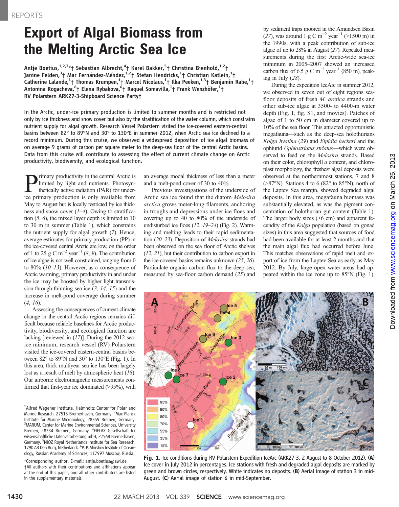# **Export of Algal Biomass from<br>the Melting Arctic Sea Ice**

Antje Boetius,<sup>1,2,3</sup>\*† Sebastian Albrecht,<sup>4</sup>† Karel Bakker,<sup>5</sup>† Christina Bienhold,<sup>1,2</sup>† Janine Felden,<sup>3</sup>† Mar Fernández-Méndez,<sup>1,2</sup>† Stefan Hendricks,<sup>1</sup>† Christian Katlein,<sup>1</sup>† Catherine Lalande,<sup>1</sup>† Thomas Krumpen,<sup>1</sup>† Marcel Nicolaus,<sup>1</sup>† Ilka Peeken,<sup>1,3</sup>† Benjamin Rabe,<sup>1</sup>† Antonina Rogacheva,<sup>6</sup>† Elena Rybakova,<sup>6</sup>† Raquel Somavilla,<sup>1</sup>† Frank Wenzhöfer,<sup>1</sup>† RV Polarstern ARK27-3-Shipboard Science Party†

In the Arctic, under-ice primary production is limited to summer months and is restricted not only by ice thickness and snow cover but also by the stratification of the water column, which constrains nutrient supply for algal growth. Research Vessel Polarstern visited the ice-covered eastern-central basins between 82° to 89°N and 30° to 130°E in summer 2012, when Arctic sea ice declined to a record minimum. During this cruise, we observed a widespread deposition of ice algal biomass of on average 9 grams of carbon per square meter to the deep-sea floor of the central Arctic basins. Data from this cruise will contribute to assessing the effect of current climate change on Arctic productivity, biodiversity, and ecological function.

**P** limited by light and nutrients. Photosynthetically active radiation (PAR) for under-<br>tie primary production is only available from limited by light and nutrients. Photosynthetically active radiation (PAR) for underice primary production is only available from May to August but is locally restricted by ice thickness and snow cover  $(1-4)$ . Owing to stratification (5, 6), the mixed layer depth is limited to 10 to 30 m in summer (Table 1), which constrains the nutrient supply for algal growth (7). Hence, average estimates for primary production (PP) in the ice-covered central Arctic are low, on the order of 1 to 25 g C m<sup>-2</sup> year<sup>-1</sup> (8, 9). The contribution of ice algae is not well constrained, ranging from 0 to 80%  $(10-13)$ . However, as a consequence of Arctic warming, primary productivity in and under the ice may be boosted by higher light transmission through thinning sea ice  $(3, 14, 15)$  and the increase in melt-pond coverage during summer (4, 16).

Assessing the consequences of current climate change in the central Arctic regions remains difficult because reliable baselines for Arctic productivity, biodiversity, and ecological function are lacking [reviewed in (17)]. During the 2012 seaice minimum, research vessel (RV) Polarstern visited the ice-covered eastern-central basins between 82° to 89°N and 30° to 130°E (Fig. 1). In this area, thick multiyear sea ice has been largely lost as a result of melt by atmospheric heat (18). Our airborne electromagnetic measurements confirmed that first-year ice dominated (>95%), with an average modal thickness of less than a meter and a melt-pond cover of 30 to 40%.

Previous investigations of the underside of Arctic sea ice found that the diatom Melosira arctica grows meter-long filaments, anchoring in troughs and depressions under ice floes and covering up to 40 to 80% of the underside of undisturbed ice floes (12, 19–24) (Fig. 2). Warming and melting leads to their rapid sedimentation (20–23). Deposition of Melosira strands had been observed on the sea floor of Arctic shelves (12, 21), but their contribution to carbon export in the ice-covered basins remains unknown (25, 26). Particulate organic carbon flux to the deep sea, measured by sea-floor carbon demand (25) and

by sediment traps moored in the Amundsen Basin (27), was around 1 g C m<sup>-2</sup> year<sup>-1</sup> (>1500 m) in the 1990s, with a peak contribution of sub-ice algae of up to 28% in August (27). Repeated measurements during the first Arctic-wide sea-ice minimum in 2005–2007 showed an increased carbon flux of 6.5 g C m<sup>-2</sup> year<sup>-1</sup> (850 m), peaking in July (28).

During the expedition IceArc in summer 2012, we observed in seven out of eight regions seafloor deposits of fresh M. arctica strands and other sub-ice algae at 3500- to 4400-m water depth (Fig. 1, fig. S1, and movies). Patches of algae of 1 to 50 cm in diameter covered up to 10% of the sea floor. This attracted opportunistic megafauna—such as the deep-sea holothurians Kolga hyalina (29) and Elpidia heckeri and the ophiurid Ophiostriatus striatus—which were observed to feed on the Melosira strands. Based on their color, chlorophyll a content, and chloroplast morphology, the freshest algal deposits were observed at the northernmost stations, 7 and 8  $(>87°N)$ . Stations 4 to 6  $(82°$  to 85°N), north of the Laptev Sea margin, showed degraded algal deposits. In this area, megafauna biomass was substantially elevated, as was the pigment concentration of holothurian gut content (Table 1). The larger body sizes (>6 cm) and apparent fecundity of the Kolga population (based on gonad sizes) in this area suggested that sources of food had been available for at least 2 months and that the main algal flux had occurred before June. This matches observations of rapid melt and export of ice from the Laptev Sea as early as May 2012. By July, large open water areas had appeared within the ice zone up to 85°N (Fig. 1),



Fig. 1. Ice conditions during RV Polarstern Expedition IceArc (ARK27-3, 2 August to 8 October 2012). (A) Ice cover in July 2012 in percentages. Ice stations with fresh and degraded algal deposits are marked by green and brown circles, respectively. White indicates no deposits. (B) Aerial image of station 3 in mid-August. (C) Aerial image of station 6 in mid-September.

<sup>&</sup>lt;sup>1</sup>Alfred Wegener Institute, Helmholtz Center for Polar and Marine Research, 27515 Bremerhaven, Germany. <sup>2</sup>Max Planck Institute for Marine Microbiology, 28359 Bremen, Germany. <sup>3</sup>MARUM, Center for Marine Environmental Sciences, University Bremen, 28334 Bremen, Germany. <sup>4</sup>FIELAX Gesellschaft für wissenschaftliche Datenverarbeitung mbH, 27568 Bremerhaven, Germany. <sup>5</sup>NIOZ Royal Netherlands Institute for Sea Research, 1790 AB Den Burg, Netherlands. <sup>6</sup>P. P. Shirshov Institute of Oceanology, Russian Academy of Sciences, 117997 Moscow, Russia.

<sup>\*</sup>Corresponding author. E-mail: antje.boetius@awi.de †All authors with their contributions and affiliations appear at the end of this paper, and all other contributors are listed in the supplementary materials.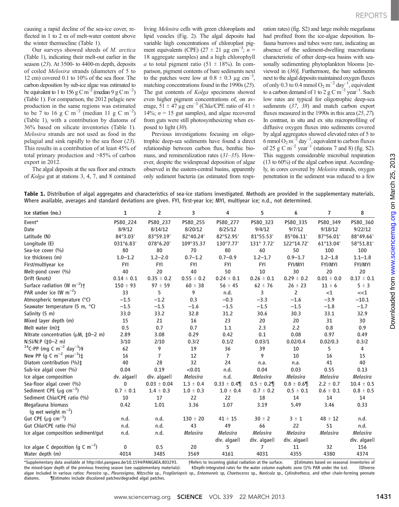on March 25, 2013

[www.sciencemag.org](http://www.sciencemag.org/)

Downloaded from www.sciencemag.org on March 25, 2013

Downloaded from

causing a rapid decline of the sea-ice cover, reflected in 1 to 2 m of melt-water content above the winter thermocline (Table 1).

Our surveys showed shreds of M. arctica (Table 1), indicating their melt-out earlier in the season (23). At 3500- to 4400-m depth, deposits of coiled Melosira strands (diameters of 5 to 12 cm) covered 0.1 to 10% of the sea floor. The carbon deposition by sub-ice algae was estimated to be equivalent to 1 to 156 g C m<sup>-2</sup> (median 9 g C m<sup>-2</sup>) (Table 1). For comparison, the 2012 pelagic new production in the same regions was estimated to be 7 to 16 g C m<sup>-2</sup> (median 11 g C m<sup>-2</sup>) (Table 1), with a contribution by diatoms of 36% based on silicate inventories (Table 1). Melosira strands are not used as food in the pelagial and sink rapidly to the sea floor (23). This results in a contribution of at least 45% of total primary production and >85% of carbon export in 2012.

The algal deposits at the sea floor and extracts of Kolga gut at stations 3, 4, 7, and 8 contained living Melosira cells with green chloroplasts and lipid vesicles (Fig. 2). The algal deposits had variable high concentrations of chloroplast pigment equivalents (CPE) (27 ± 21 µg cm<sup>-3</sup>; n = 18 aggregate samples) and a high chlorophyll a to total pigment ratio  $(51 \pm 18\%)$ . In comparison, pigment contents of bare sediments next to the patches were low at  $0.8 \pm 0.3$  µg cm<sup>-3</sup>, matching concentrations found in the 1990s (25). The gut contents of Kolga specimens showed even higher pigment concentrations of, on average, 51  $\pm$  47 µg cm<sup>-3</sup> (Chla/CPE ratio of 41  $\pm$ 14%;  $n = 15$  gut samples), and algae recovered from guts were still photosynthesizing when exposed to light (30).

Previous investigations focusing on oligotrophic deep-sea sediments have found a direct relationship between carbon flux, benthic biomass, and remineralization rates (31–35). However, despite the widespread deposition of algae observed in the eastern-central basins, apparently only sediment bacteria (as estimated from respiration rates) (fig. S2) and large mobile megafauna had profited from the ice-algae deposition. Infauna burrows and tubes were rare, indicating an absence of the sediment-dwelling macrofauna characteristic of other deep-sea basins with seasonally sedimenting phytoplankton blooms [reviewed in (36)]. Furthermore, the bare sediments next to the algal deposits maintained oxygen fluxes of only 0.3 to 0.4 mmol O<sub>2</sub> m<sup>-2</sup> day<sup>-1</sup>, equivalent to a carbon demand of 1 to 2 g C m<sup>-2</sup> year<sup>-1</sup>. Such low rates are typical for oligotrophic deep-sea sediments (37, 38) and match carbon export fluxes measured in the 1990s in this area (25, 27). In contrast, in situ and ex situ microprofiling of diffusive oxygen fluxes into sediments covered by algal aggregates showed elevated rates of 5 to 6 mmol O<sub>2</sub> m<sup>-2</sup> day<sup>-1</sup>, equivalent to carbon fluxes of 25 g C m<sup>-2</sup> year<sup>-1</sup> (stations 7 and 8) (fig. S2). This suggests considerable microbial respiration (13 to 60%) of the algal carbon input. Accordingly, in cores covered by Melosira strands, oxygen penetration in the sediment was reduced to a few

Table 1. Distribution of algal aggregates and characteristics of sea-ice stations investigated. Methods are provided in the supplementary materials. Where available, averages and standard deviations are given. FYI, first-year ice; MYI, multiyear ice; n.d., not determined.

| Ice station (no.)                                             | $\mathbf{1}$    | $\overline{2}$  | 3               | 4              | 5               | 6               | $\overline{7}$  | 8               |
|---------------------------------------------------------------|-----------------|-----------------|-----------------|----------------|-----------------|-----------------|-----------------|-----------------|
| Event*                                                        | PS80_224        | PS80 237        | PS80_255        | PS80_277       | PS80_323        | PS80_335        | PS80 349        | PS80_360        |
| Date                                                          | 8/9/12          | 8/14/12         | 8/20/12         | 8/25/12        | 9/4/12          | 9/7/12          | 9/18/12         | 9/22/12         |
| Latitude (N)                                                  | 84°3.03'        | 83°59.19'       | 82°40.24'       | 82°52.95'      | 81°55.53'       | 85°06.11'       | 87°56.01'       | 88°49.66'       |
| Longitude (E)                                                 | 031°6.83'       | 078°6.20'       | 109°35.37       | 130°7.77'      | 131° 7.72'      | 122°14.72'      | 61°13.04'       | 58°51.81'       |
| Sea-ice cover (%)                                             | 80              | 80              | 70              | 80             | 60              | 50              | 100             | 100             |
| Ice thickness (m)                                             | $1.0 - 1.2$     | $1.2 - 2.0$     | $0.7 - 1.2$     | $0.7 - 0.9$    | $1.2 - 1.7$     | $0.9 - 1.7$     | $1.2 - 1.8$     | $1.1 - 1.8$     |
| First/multiyear ice                                           | <b>FYI</b>      | <b>FYI</b>      | <b>FYI</b>      | <b>FYI</b>     | <b>FYI</b>      | <b>FYI/MYI</b>  | <b>FYI/MYI</b>  | <b>FYI/MYI</b>  |
| Melt-pond cover (%)                                           | 40              | 20              | 40              | 50             | 10              | 30              | 20              | 20              |
| Drift (knots)                                                 | $0.14 \pm 0.1$  | $0.35 \pm 0.2$  | $0.55 \pm 0.2$  | $0.24 \pm 0.1$ | $0.26 \pm 0.1$  | $0.29 \pm 0.2$  | $0.01 \pm 0.0$  | $0.17 \pm 0.1$  |
| Surface radiation (W $m^{-2}$ ) <sup>+</sup>                  | $150 \pm 93$    | $97 \pm 59$     | $60 \pm 38$     | $56 \pm 45$    | $62 \pm 76$     | $26 \pm 23$     | $11 \pm 6$      | $5 \pm 3$       |
| PAR under ice (W $m^{-2}$ )                                   | 33              | 5               | 9               | n.d.           | 3               | $\overline{2}$  | <1              | <<1             |
| Atmospheric temperature (°C)                                  | $-1.5$          | $-1.2$          | 0.3             | $-0.3$         | $-3.3$          | $-1.6$          | $-3.9$          | $-10.1$         |
| Seawater temperature (5 m, °C)                                | $-1.5$          | $-1.5$          | $-1.6$          | $-1.5$         | $-1.5$          | $-1.5$          | $-1.8$          | $-1.7$          |
| Salinity (5 m)                                                | 33.0            | 33.2            | 32.8            | 31.2           | 30.6            | 30.3            | 33.1            | 32.9            |
| Mixed layer depth (m)                                         | 15              | 21              | 16              | 23             | 20              | 20              | 31              | 30              |
| Melt water $(m)$ ±                                            | 0.5             | 0.7             | 0.7             | 1.1            | 2.3             | 2.2             | 0.8             | 0.9             |
| Nitrate concentration ( $\mu$ M, $\pm$ 0-2 m)                 | 2.89            | 3.08            | 0.29            | 0.42           | 0.1             | 0.08            | 0.97            | 0.49            |
| N:Si/N:P (‡0-2 m)                                             | 3/10            | 2/10            | 0.3/2           | 0.1/2          | 0.03/1          | 0.02/0.4        | 0.02/0.3        | 0.3/2           |
| <sup>14</sup> C-PP (mg C m <sup>-2</sup> day <sup>-1</sup> )§ | 62              | 9               | 19              | 36             | 39              | 10              | 5               | 4               |
| New PP (g C m <sup>-2</sup> year <sup>-1</sup> ) $\ddagger$   | 16              | 7               | 12              | $\overline{7}$ | 9               | 10              | 16              | 15              |
| Diatom contribution (%)±                                      | 40              | 28              | 32              | 24             | n.a.            | n.a.            | 41              | 40              |
| Sub-ice algal cover (%)                                       | 0.04            | 0.19            | < 0.01          | n.d.           | 0.04            | 0.03            | 0.55            | 0.13            |
| Ice algae composition                                         | dv. algaell     | div. algaell    | <b>Melosira</b> | n.d.           | <b>Melosira</b> | <b>Melosira</b> | <b>Melosira</b> | <b>Melosira</b> |
| Sea-floor algal cover (%)                                     | 0               | $0.03 \pm 0.04$ | $1.3 \pm 0.4$   | $0.33 \pm 0.4$ | $0.5 \pm 0.2$   | $0.8 \pm 0.6$   | $2.2 \pm 0.7$   | $10.4 \pm 0.5$  |
| Sediment CPE ( $\mu$ g cm <sup>-3</sup> )                     | $0.7\,\pm\,0.1$ | $1.4 \pm 0.3$   | $1.0 \pm 0.3$   | $1.0 \pm 0.4$  | $0.7\,\pm\,0.2$ | $0.5 \pm 0.1$   | $0.6 \pm 0.1$   | $0.8\,\pm\,0.5$ |
| Sediment Chla/CPE ratio (%)                                   | 10              | 17              | 22              | 22             | 18              | 14              | 14              | 14              |
| Megafauna biomass                                             | 0.42            | 1.01            | 3.36            | 1.07           | 3.19            | 5.49            | 3.46            | 0.33            |
| (g wet weight $m^{-2}$ )                                      |                 |                 |                 |                |                 |                 |                 |                 |
| Gut CPE ( $\mu$ g cm <sup>-3</sup> )                          | n.d.            | n.d.            | $130 \pm 20$    | $41 \pm 15$    | $30 \pm 2$      | $3 \pm 1$       | $48 \pm 12$     | n.d.            |
| Gut Chla/CPE ratio (%)                                        | n.d.            | n.d.            | 43              | 49             | 66              | 22              | 51              | n.d.            |
| Ice algae composition sediment/gut                            | n.d.            | n.d.            | <b>Melosira</b> | Melosira       | <b>Melosira</b> | <b>Melosira</b> | <b>Melosira</b> | <b>Melosira</b> |
|                                                               |                 |                 |                 | div. algaell   | div. algaell    | div. algaell    |                 | div. algaell    |
| Ice algae C deposition (q C m <sup>-2</sup> )                 | 0               | 0.5             | 20              | 5              | 7               | 11              | 32              | 156             |
| Water depth (m)                                               | 4014            | 3485            | 3569            | 4161           | 4031            | 4355            | 4380            | 4374            |

\*Supplementary data available at http://doi.pangaea.de/10.1594/PANGAEA.803293. †Refers to incoming global radiation at the surface. ‡Estimates based on seasonal inventories of<br>the mixed-layer depth of the previous freezing the mixed-layer depth of the previous freezing season (see supplementary materials). §Depth-integrated rates for the water column euphotic zone (1% PAR under the ice). ||Diverse algae included in various ratios: Porosira sp., Pleurosigma, Nitzschia sp., Fragilariopsis sp., Entomoneis sp, Chaetoceros sp., Navicula sp., Cylindrotheca, and other chain-forming pennate diacomos diatoms.<br>diatoms. The Si diatoms. ¶Estimates include discolored patches/degraded algal patches.